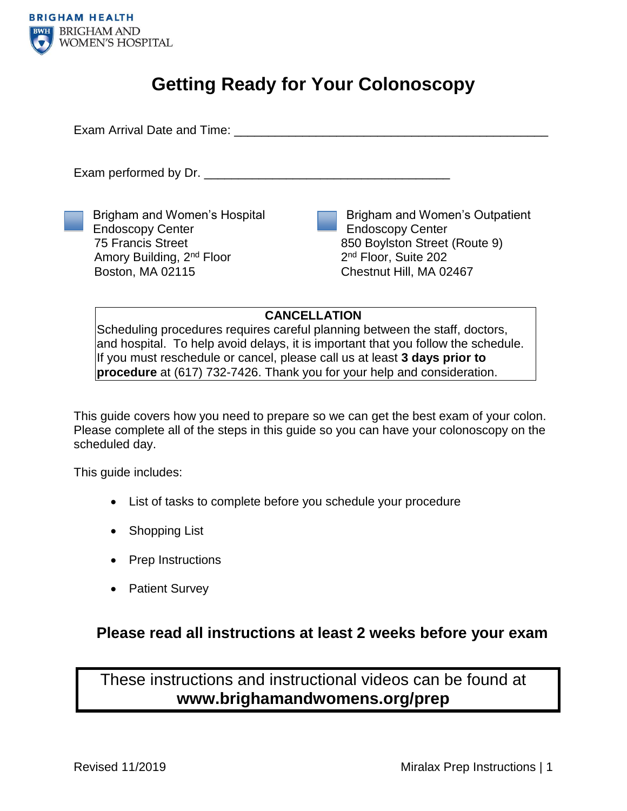

# **Getting Ready for Your Colonoscopy**

Exam Arrival Date and Time: **Example 19** Figures 1

Exam performed by Dr.

Brigham and Women's Hospital Endoscopy Center 75 Francis Street Amory Building, 2nd Floor Boston, MA 02115

Brigham and Women's Outpatient Endoscopy Center 850 Boylston Street (Route 9) 2<sup>nd</sup> Floor, Suite 202 Chestnut Hill, MA 02467

### **CANCELLATION**

Scheduling procedures requires careful planning between the staff, doctors, and hospital. To help avoid delays, it is important that you follow the schedule. If you must reschedule or cancel, please call us at least **3 days prior to procedure** at (617) 732-7426. Thank you for your help and consideration.

This guide covers how you need to prepare so we can get the best exam of your colon. Please complete all of the steps in this guide so you can have your colonoscopy on the scheduled day.

This guide includes:

- List of tasks to complete before you schedule your procedure
- Shopping List
- Prep Instructions
- Patient Survey

### **Please read all instructions at least 2 weeks before your exam**

These instructions and instructional videos can be found at **www.brighamandwomens.org/prep**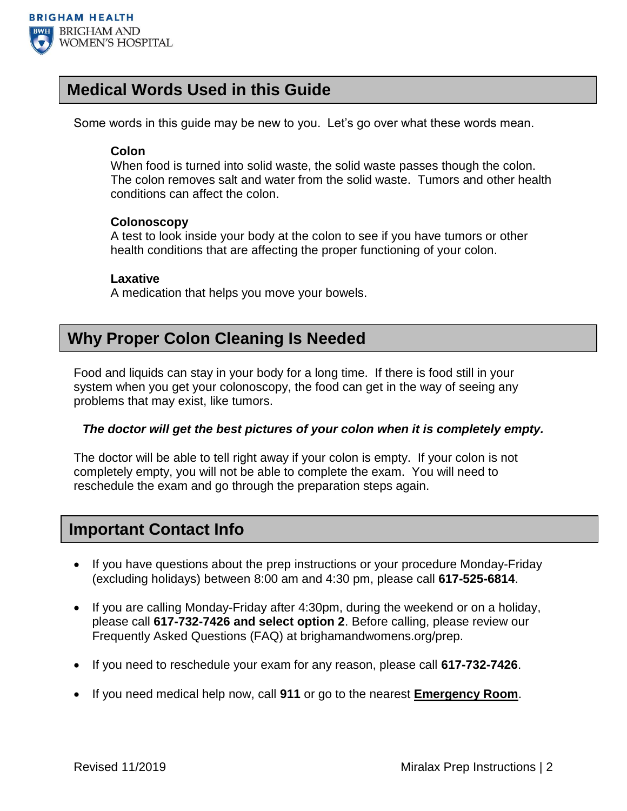

### **Medical Words Used in this Guide**

Some words in this guide may be new to you. Let's go over what these words mean.

### **Colon**

When food is turned into solid waste, the solid waste passes though the colon. The colon removes salt and water from the solid waste. Tumors and other health conditions can affect the colon.

### **Colonoscopy**

A test to look inside your body at the colon to see if you have tumors or other health conditions that are affecting the proper functioning of your colon.

#### **Laxative**

A medication that helps you move your bowels.

## **Why Proper Colon Cleaning Is Needed**

Food and liquids can stay in your body for a long time. If there is food still in your system when you get your colonoscopy, the food can get in the way of seeing any problems that may exist, like tumors.

### *The doctor will get the best pictures of your colon when it is completely empty.*

The doctor will be able to tell right away if your colon is empty. If your colon is not completely empty, you will not be able to complete the exam. You will need to reschedule the exam and go through the preparation steps again.

### **Important Contact Info**

- If you have questions about the prep instructions or your procedure Monday-Friday (excluding holidays) between 8:00 am and 4:30 pm, please call **617-525-6814**.
- If you are calling Monday-Friday after 4:30pm, during the weekend or on a holiday, please call **617-732-7426 and select option 2**. Before calling, please review our Frequently Asked Questions (FAQ) at brighamandwomens.org/prep.
- If you need to reschedule your exam for any reason, please call **617-732-7426**.
- If you need medical help now, call **911** or go to the nearest **Emergency Room**.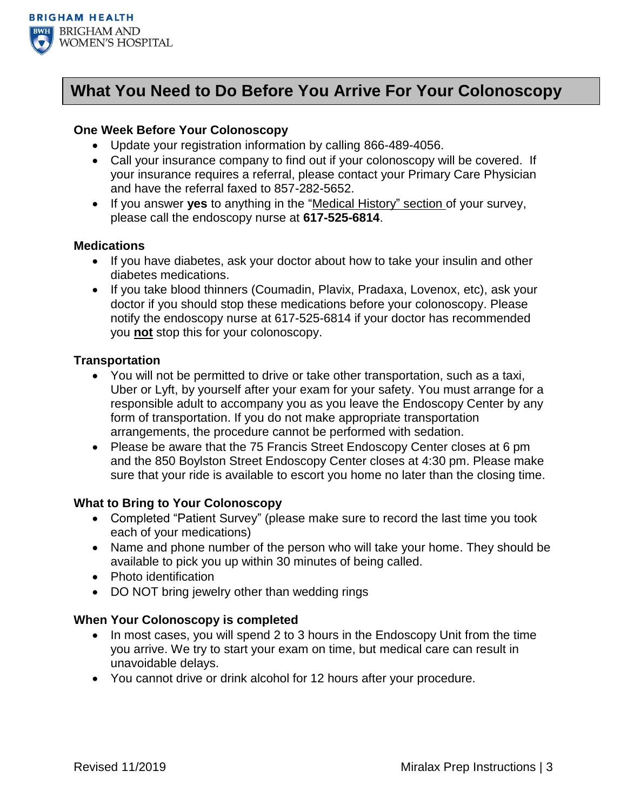

# **What You Need to Do Before You Arrive For Your Colonoscopy**

### **One Week Before Your Colonoscopy**

- Update your registration information by calling 866-489-4056.
- Call your insurance company to find out if your colonoscopy will be covered. If your insurance requires a referral, please contact your Primary Care Physician and have the referral faxed to 857-282-5652.
- If you answer **yes** to anything in the "Medical History" section of your survey, please call the endoscopy nurse at **617-525-6814**.

#### **Medications**

- If you have diabetes, ask your doctor about how to take your insulin and other diabetes medications.
- If you take blood thinners (Coumadin, Plavix, Pradaxa, Lovenox, etc), ask your doctor if you should stop these medications before your colonoscopy. Please notify the endoscopy nurse at 617-525-6814 if your doctor has recommended you **not** stop this for your colonoscopy.

### **Transportation**

- You will not be permitted to drive or take other transportation, such as a taxi, Uber or Lyft, by yourself after your exam for your safety. You must arrange for a responsible adult to accompany you as you leave the Endoscopy Center by any form of transportation. If you do not make appropriate transportation arrangements, the procedure cannot be performed with sedation.
- Please be aware that the 75 Francis Street Endoscopy Center closes at 6 pm and the 850 Boylston Street Endoscopy Center closes at 4:30 pm. Please make sure that your ride is available to escort you home no later than the closing time.

### **What to Bring to Your Colonoscopy**

- Completed "Patient Survey" (please make sure to record the last time you took each of your medications)
- Name and phone number of the person who will take your home. They should be available to pick you up within 30 minutes of being called.
- Photo identification
- DO NOT bring jewelry other than wedding rings

### **When Your Colonoscopy is completed**

- In most cases, you will spend 2 to 3 hours in the Endoscopy Unit from the time you arrive. We try to start your exam on time, but medical care can result in unavoidable delays.
- You cannot drive or drink alcohol for 12 hours after your procedure.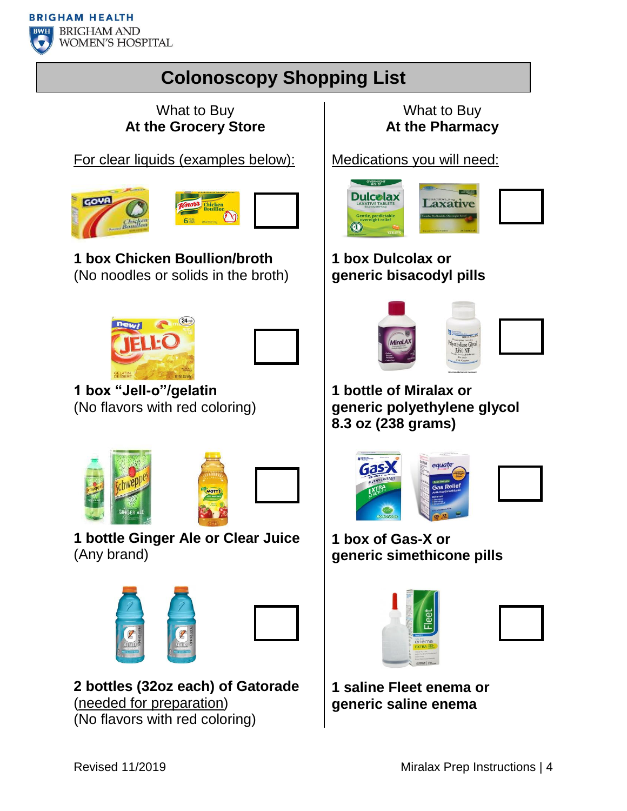

# **Colonoscopy Shopping List**

### What to Buy **At the Grocery Store**

For clear liquids (examples below):





**1 box Chicken Boullion/broth** (No noodles or solids in the broth)





**1 box "Jell-o"/gelatin** (No flavors with red coloring)







**1 bottle Ginger Ale or Clear Juice**  (Any brand)





**2 bottles (32oz each) of Gatorade**  (needed for preparation) (No flavors with red coloring)

## What to Buy **At the Pharmacy**

Medications you will need:



## **1 box Dulcolax or generic bisacodyl pills**



**1 bottle of Miralax or generic polyethylene glycol 8.3 oz (238 grams)**



**1 box of Gas-X or generic simethicone pills**





**1 saline Fleet enema or generic saline enema**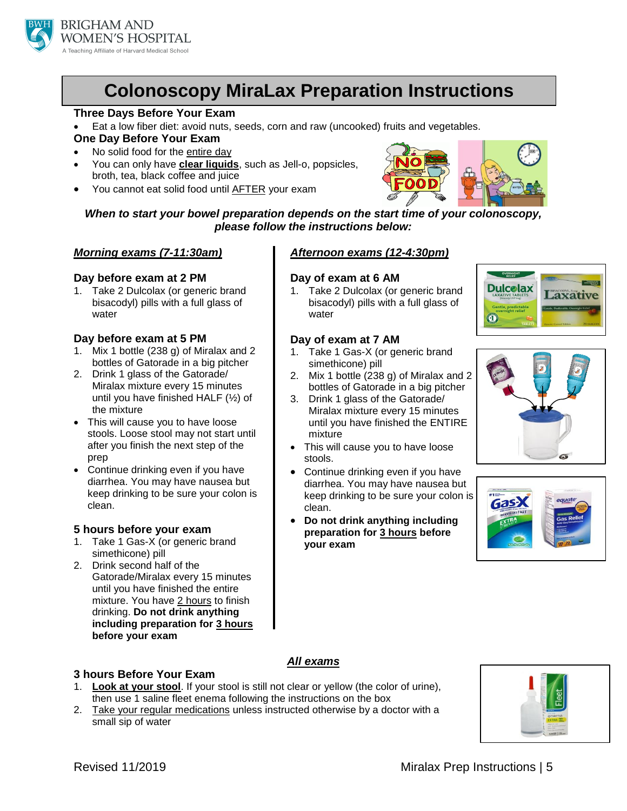

# **Colonoscopy MiraLax Preparation Instructions**

#### **Three Days Before Your Exam**

- Eat a low fiber diet: avoid nuts, seeds, corn and raw (uncooked) fruits and vegetables. **One Day Before Your Exam**
- No solid food for the entire day
- You can only have **clear liquids**, such as Jell-o, popsicles, broth, tea, black coffee and juice
- You cannot eat solid food until AFTER your exam



*When to start your bowel preparation depends on the start time of your colonoscopy, please follow the instructions below:*

#### *Morning exams (7-11:30am)*

### **Day before exam at 2 PM**

1. Take 2 Dulcolax (or generic brand bisacodyl) pills with a full glass of water

#### **Day before exam at 5 PM**

- 1. Mix 1 bottle (238 g) of Miralax and 2 bottles of Gatorade in a big pitcher
- 2. Drink 1 glass of the Gatorade/ Miralax mixture every 15 minutes until you have finished HALF (½) of the mixture
- This will cause you to have loose stools. Loose stool may not start until after you finish the next step of the prep
- Continue drinking even if you have diarrhea. You may have nausea but keep drinking to be sure your colon is clean.

### **5 hours before your exam**

- 1. Take 1 Gas-X (or generic brand simethicone) pill
- 2. Drink second half of the Gatorade/Miralax every 15 minutes until you have finished the entire mixture. You have 2 hours to finish drinking. **Do not drink anything including preparation for 3 hours before your exam**

### *Afternoon exams (12-4:30pm)*

### **Day of exam at 6 AM**

1. Take 2 Dulcolax (or generic brand bisacodyl) pills with a full glass of water

### **Day of exam at 7 AM**

- 1. Take 1 Gas-X (or generic brand simethicone) pill
- 2. Mix 1 bottle (238 g) of Miralax and 2 bottles of Gatorade in a big pitcher
- 3. Drink 1 glass of the Gatorade/ Miralax mixture every 15 minutes until you have finished the ENTIRE mixture
- This will cause you to have loose stools.
- Continue drinking even if you have diarrhea. You may have nausea but keep drinking to be sure your colon is clean.
- **Do not drink anything including preparation for 3 hours before your exam**







### *All exams*

### **3 hours Before Your Exam**

- 1. **Look at your stool**. If your stool is still not clear or yellow (the color of urine), then use 1 saline fleet enema following the instructions on the box
- 2. Take your regular medications unless instructed otherwise by a doctor with a small sip of water

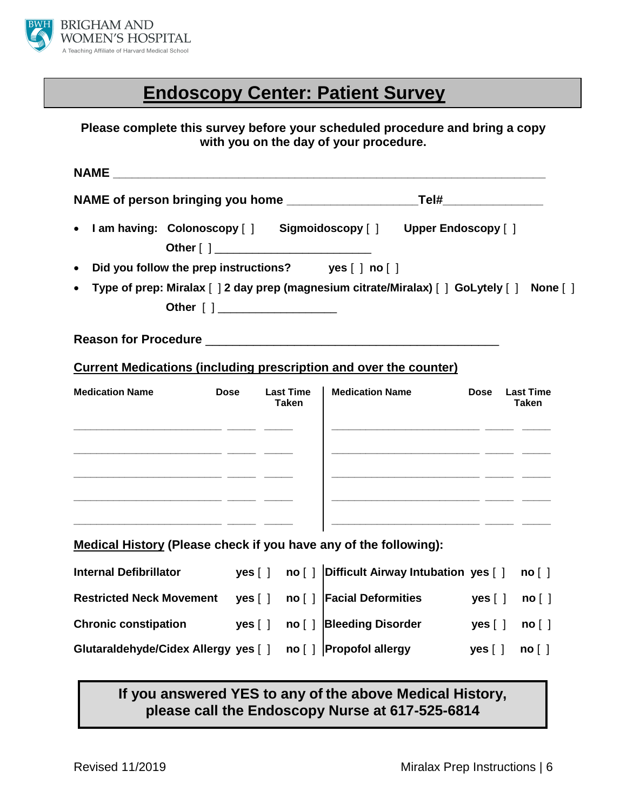

# **Endoscopy Center: Patient Survey**

### **Please complete this survey before your scheduled procedure and bring a copy with you on the day of your procedure.**

| <b>NAME</b>                                                                                                    |                                                                      |         |                                  |                                                                                            |             |                                  |
|----------------------------------------------------------------------------------------------------------------|----------------------------------------------------------------------|---------|----------------------------------|--------------------------------------------------------------------------------------------|-------------|----------------------------------|
|                                                                                                                |                                                                      |         |                                  |                                                                                            |             |                                  |
| $\bullet$                                                                                                      | Other [ ] ___________________________                                |         |                                  | I am having: Colonoscopy [ ] Sigmoidoscopy [ ] Upper Endoscopy [ ]                         |             |                                  |
| $\bullet$                                                                                                      |                                                                      |         |                                  | Did you follow the prep instructions? yes [ ] no [ ]                                       |             |                                  |
|                                                                                                                | Other [ ] ____________________                                       |         |                                  | Type of prep: Miralax [ ] 2 day prep (magnesium citrate/Miralax) [ ] GoLytely [ ] None [ ] |             |                                  |
|                                                                                                                |                                                                      |         |                                  |                                                                                            |             |                                  |
|                                                                                                                |                                                                      |         |                                  | <b>Current Medications (including prescription and over the counter)</b>                   |             |                                  |
| <b>Medication Name</b>                                                                                         | <b>Dose</b><br><u> 1989 - Jan Barnett, fransk kongresu og forske</u> |         | <b>Last Time</b><br><b>Taken</b> | <b>Medication Name</b>                                                                     | <b>Dose</b> | <b>Last Time</b><br><b>Taken</b> |
| and the company of the company of the company of the company of the company of the company of the company of t |                                                                      |         |                                  |                                                                                            |             |                                  |
|                                                                                                                |                                                                      |         |                                  | Medical History (Please check if you have any of the following):                           |             |                                  |
| <b>Internal Defibrillator</b>                                                                                  |                                                                      | yes [ ] |                                  | no []   Difficult Airway Intubation yes []                                                 |             | no [ ]                           |
| <b>Restricted Neck Movement</b>                                                                                |                                                                      | yes[]   |                                  | no [ ] Facial Deformities                                                                  | yes [ ]     | no [ ]                           |
| <b>Chronic constipation</b>                                                                                    |                                                                      |         |                                  | yes [ ] no [ ] Bleeding Disorder                                                           | yes [ ]     | no [ ]                           |
|                                                                                                                |                                                                      |         |                                  | Glutaraldehyde/Cidex Allergy yes [ ] no [ ] Propofol allergy                               | yes [ ]     | no [ ]                           |

### **If you answered YES to any of the above Medical History, please call the Endoscopy Nurse at 617-525-6814**